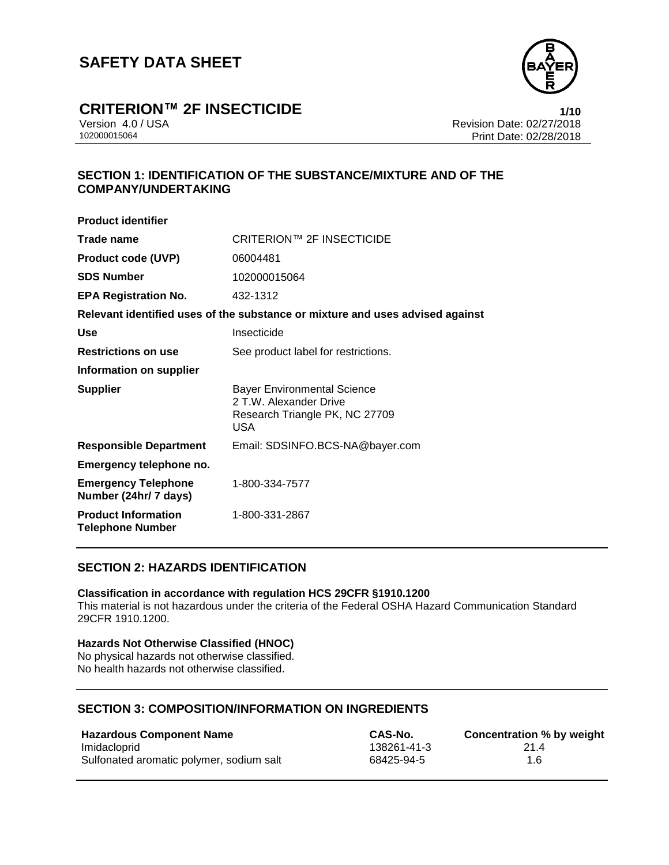

### **CRITERION™ 2F INSECTICIDE 1/10**

Version 4.0 / USA Revision Date: 02/27/2018 Print Date: 02/28/2018

### **SECTION 1: IDENTIFICATION OF THE SUBSTANCE/MIXTURE AND OF THE COMPANY/UNDERTAKING**

| <b>Product identifier</b>                             |                                                                                                              |
|-------------------------------------------------------|--------------------------------------------------------------------------------------------------------------|
| Trade name                                            | CRITERION™ 2F INSECTICIDE                                                                                    |
| <b>Product code (UVP)</b>                             | 06004481                                                                                                     |
| <b>SDS Number</b>                                     | 102000015064                                                                                                 |
| <b>EPA Registration No.</b>                           | 432-1312                                                                                                     |
|                                                       | Relevant identified uses of the substance or mixture and uses advised against                                |
| Use                                                   | Insecticide                                                                                                  |
| <b>Restrictions on use</b>                            | See product label for restrictions.                                                                          |
| Information on supplier                               |                                                                                                              |
| <b>Supplier</b>                                       | <b>Bayer Environmental Science</b><br>2 T.W. Alexander Drive<br>Research Triangle PK, NC 27709<br><b>USA</b> |
| <b>Responsible Department</b>                         | Email: SDSINFO.BCS-NA@bayer.com                                                                              |
| Emergency telephone no.                               |                                                                                                              |
| <b>Emergency Telephone</b><br>Number (24hr/ 7 days)   | 1-800-334-7577                                                                                               |
| <b>Product Information</b><br><b>Telephone Number</b> | 1-800-331-2867                                                                                               |
|                                                       |                                                                                                              |

#### **SECTION 2: HAZARDS IDENTIFICATION**

#### **Classification in accordance with regulation HCS 29CFR §1910.1200**

This material is not hazardous under the criteria of the Federal OSHA Hazard Communication Standard 29CFR 1910.1200.

#### **Hazards Not Otherwise Classified (HNOC)**

No physical hazards not otherwise classified. No health hazards not otherwise classified.

#### **SECTION 3: COMPOSITION/INFORMATION ON INGREDIENTS**

| <b>Hazardous Component Name</b>          | <b>CAS-No.</b> | Concentration % by weight |
|------------------------------------------|----------------|---------------------------|
| Imidacloprid                             | 138261-41-3    | 214                       |
| Sulfonated aromatic polymer, sodium salt | 68425-94-5     | 1.6                       |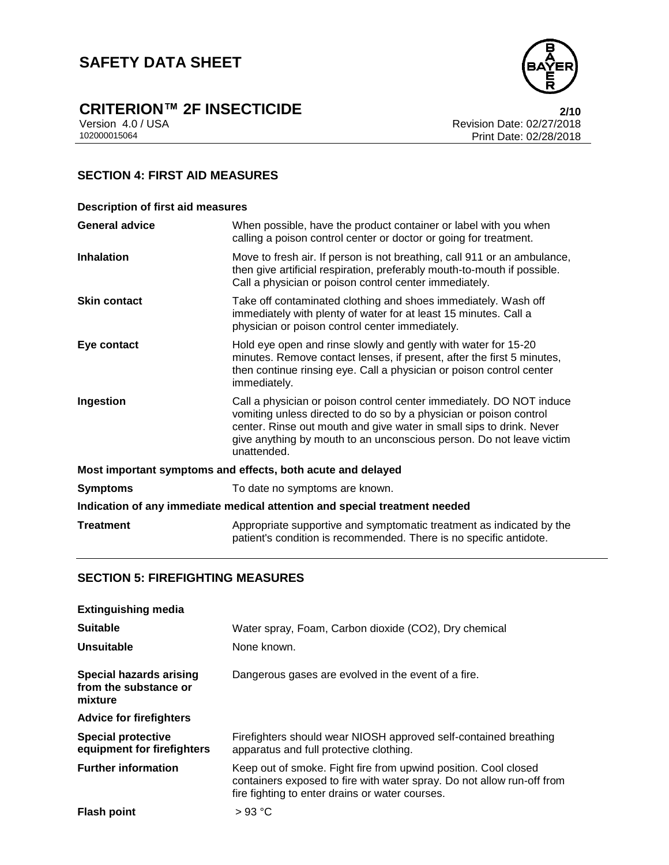## **CRITERION™ 2F INSECTICIDE**<br>Version 4.0 / USA **2/10**<br>Revision Date: 02/27/2018

Version 4.0 / USA <br>102000015064<br>Print Date: 02/27/2018 Print Date: 02/28/2018

### **SECTION 4: FIRST AID MEASURES**

| <b>Description of first aid measures</b>                                   |                                                                                                                                                                                                                                                                                                           |  |
|----------------------------------------------------------------------------|-----------------------------------------------------------------------------------------------------------------------------------------------------------------------------------------------------------------------------------------------------------------------------------------------------------|--|
| <b>General advice</b>                                                      | When possible, have the product container or label with you when<br>calling a poison control center or doctor or going for treatment.                                                                                                                                                                     |  |
| <b>Inhalation</b>                                                          | Move to fresh air. If person is not breathing, call 911 or an ambulance,<br>then give artificial respiration, preferably mouth-to-mouth if possible.<br>Call a physician or poison control center immediately.                                                                                            |  |
| <b>Skin contact</b>                                                        | Take off contaminated clothing and shoes immediately. Wash off<br>immediately with plenty of water for at least 15 minutes. Call a<br>physician or poison control center immediately.                                                                                                                     |  |
| Eye contact                                                                | Hold eye open and rinse slowly and gently with water for 15-20<br>minutes. Remove contact lenses, if present, after the first 5 minutes,<br>then continue rinsing eye. Call a physician or poison control center<br>immediately.                                                                          |  |
| Ingestion                                                                  | Call a physician or poison control center immediately. DO NOT induce<br>vomiting unless directed to do so by a physician or poison control<br>center. Rinse out mouth and give water in small sips to drink. Never<br>give anything by mouth to an unconscious person. Do not leave victim<br>unattended. |  |
| Most important symptoms and effects, both acute and delayed                |                                                                                                                                                                                                                                                                                                           |  |
| <b>Symptoms</b>                                                            | To date no symptoms are known.                                                                                                                                                                                                                                                                            |  |
| Indication of any immediate medical attention and special treatment needed |                                                                                                                                                                                                                                                                                                           |  |
| <b>Treatment</b>                                                           | Appropriate supportive and symptomatic treatment as indicated by the<br>patient's condition is recommended. There is no specific antidote.                                                                                                                                                                |  |

#### **SECTION 5: FIREFIGHTING MEASURES**

| <b>Extinguishing media</b>                                         |                                                                                                                                                                                              |
|--------------------------------------------------------------------|----------------------------------------------------------------------------------------------------------------------------------------------------------------------------------------------|
| <b>Suitable</b>                                                    | Water spray, Foam, Carbon dioxide (CO2), Dry chemical                                                                                                                                        |
| Unsuitable                                                         | None known.                                                                                                                                                                                  |
| <b>Special hazards arising</b><br>from the substance or<br>mixture | Dangerous gases are evolved in the event of a fire.                                                                                                                                          |
| <b>Advice for firefighters</b>                                     |                                                                                                                                                                                              |
| <b>Special protective</b><br>equipment for firefighters            | Firefighters should wear NIOSH approved self-contained breathing<br>apparatus and full protective clothing.                                                                                  |
| <b>Further information</b>                                         | Keep out of smoke. Fight fire from upwind position. Cool closed<br>containers exposed to fire with water spray. Do not allow run-off from<br>fire fighting to enter drains or water courses. |
| <b>Flash point</b>                                                 | >93 °C                                                                                                                                                                                       |

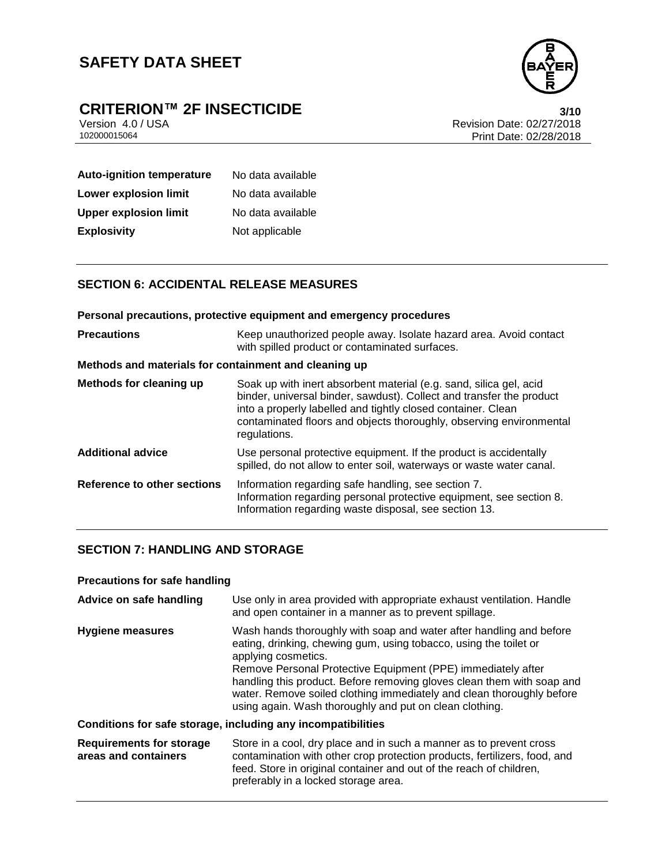

## **CRITERION™ 2F INSECTICIDE**<br>Version 4.0 / USA **10**<br>Revision Date: 02/27/2018

Version 4.0 / USA Revision Date: 02/27/2018 Print Date: 02/28/2018

| <b>Auto-ignition temperature</b> | No data available |
|----------------------------------|-------------------|
| Lower explosion limit            | No data available |
| <b>Upper explosion limit</b>     | No data available |
| <b>Explosivity</b>               | Not applicable    |

### **SECTION 6: ACCIDENTAL RELEASE MEASURES**

| Personal precautions, protective equipment and emergency procedures |                                                                                                                                                                                                                                                                                                   |  |
|---------------------------------------------------------------------|---------------------------------------------------------------------------------------------------------------------------------------------------------------------------------------------------------------------------------------------------------------------------------------------------|--|
| <b>Precautions</b>                                                  | Keep unauthorized people away. Isolate hazard area. Avoid contact<br>with spilled product or contaminated surfaces.                                                                                                                                                                               |  |
| Methods and materials for containment and cleaning up               |                                                                                                                                                                                                                                                                                                   |  |
| Methods for cleaning up                                             | Soak up with inert absorbent material (e.g. sand, silica gel, acid<br>binder, universal binder, sawdust). Collect and transfer the product<br>into a properly labelled and tightly closed container. Clean<br>contaminated floors and objects thoroughly, observing environmental<br>regulations. |  |
| <b>Additional advice</b>                                            | Use personal protective equipment. If the product is accidentally<br>spilled, do not allow to enter soil, waterways or waste water canal.                                                                                                                                                         |  |
| Reference to other sections                                         | Information regarding safe handling, see section 7.<br>Information regarding personal protective equipment, see section 8.<br>Information regarding waste disposal, see section 13.                                                                                                               |  |

#### **SECTION 7: HANDLING AND STORAGE**

#### **Precautions for safe handling**

| Advice on safe handling                                 | Use only in area provided with appropriate exhaust ventilation. Handle<br>and open container in a manner as to prevent spillage.                                                                                                                                                                                                                                                                                                              |
|---------------------------------------------------------|-----------------------------------------------------------------------------------------------------------------------------------------------------------------------------------------------------------------------------------------------------------------------------------------------------------------------------------------------------------------------------------------------------------------------------------------------|
| <b>Hygiene measures</b>                                 | Wash hands thoroughly with soap and water after handling and before<br>eating, drinking, chewing gum, using tobacco, using the toilet or<br>applying cosmetics.<br>Remove Personal Protective Equipment (PPE) immediately after<br>handling this product. Before removing gloves clean them with soap and<br>water. Remove soiled clothing immediately and clean thoroughly before<br>using again. Wash thoroughly and put on clean clothing. |
|                                                         | Conditions for safe storage, including any incompatibilities                                                                                                                                                                                                                                                                                                                                                                                  |
| <b>Requirements for storage</b><br>areas and containers | Store in a cool, dry place and in such a manner as to prevent cross<br>contamination with other crop protection products, fertilizers, food, and                                                                                                                                                                                                                                                                                              |

preferably in a locked storage area.

feed. Store in original container and out of the reach of children,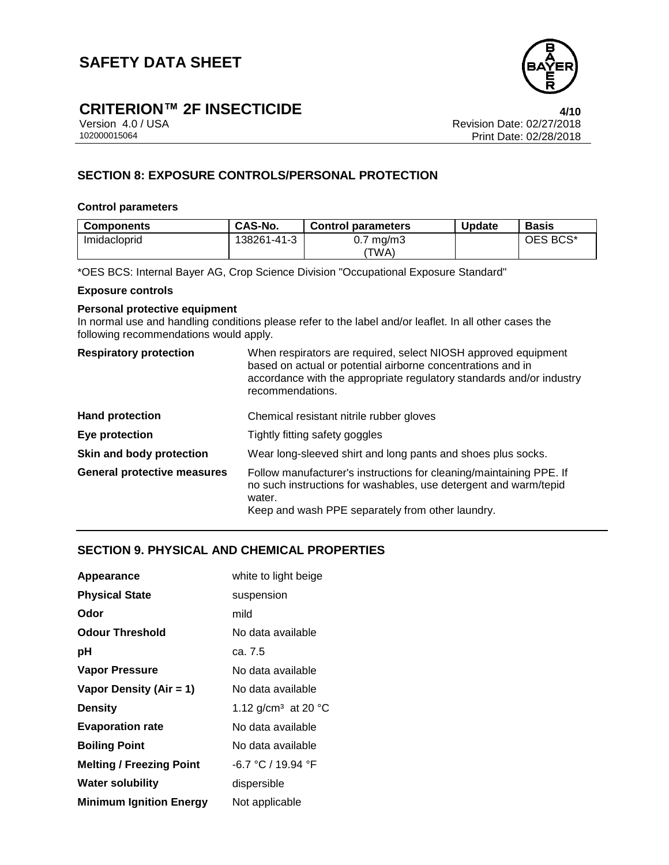

## **CRITERION™ 2F INSECTICIDE**<br>Version 4.0 / USA *4/10*<br>Revision Date: 02/27/2018

Version 4.0 / USA Revision Date: 02/27/2018 Print Date: 02/28/2018

### **SECTION 8: EXPOSURE CONTROLS/PERSONAL PROTECTION**

#### **Control parameters**

| <b>Components</b> | CAS-No.     | <b>Control parameters</b> | <b>Update</b> | <b>Basis</b> |
|-------------------|-------------|---------------------------|---------------|--------------|
| Imidacloprid      | 138261-41-3 | mq/m3<br>U.T              |               | OES BCS*     |
|                   |             | 'TWA)                     |               |              |

\*OES BCS: Internal Bayer AG, Crop Science Division "Occupational Exposure Standard"

#### **Exposure controls**

#### **Personal protective equipment**

In normal use and handling conditions please refer to the label and/or leaflet. In all other cases the following recommendations would apply.

| <b>Respiratory protection</b>      | When respirators are required, select NIOSH approved equipment<br>based on actual or potential airborne concentrations and in<br>accordance with the appropriate regulatory standards and/or industry<br>recommendations. |
|------------------------------------|---------------------------------------------------------------------------------------------------------------------------------------------------------------------------------------------------------------------------|
| <b>Hand protection</b>             | Chemical resistant nitrile rubber gloves                                                                                                                                                                                  |
| Eye protection                     | Tightly fitting safety goggles                                                                                                                                                                                            |
| Skin and body protection           | Wear long-sleeved shirt and long pants and shoes plus socks.                                                                                                                                                              |
| <b>General protective measures</b> | Follow manufacturer's instructions for cleaning/maintaining PPE. If<br>no such instructions for washables, use detergent and warm/tepid<br>water.<br>Keep and wash PPE separately from other laundry.                     |

#### **SECTION 9. PHYSICAL AND CHEMICAL PROPERTIES**

| Appearance                      | white to light beige                      |
|---------------------------------|-------------------------------------------|
| <b>Physical State</b>           | suspension                                |
| Odor                            | mild                                      |
| <b>Odour Threshold</b>          | No data available                         |
| рH                              | ca. 7.5                                   |
| <b>Vapor Pressure</b>           | No data available                         |
| Vapor Density (Air = 1)         | No data available                         |
| <b>Density</b>                  | 1.12 g/cm <sup>3</sup> at 20 $^{\circ}$ C |
| <b>Evaporation rate</b>         | No data available                         |
| <b>Boiling Point</b>            | No data available                         |
| <b>Melting / Freezing Point</b> | $-6.7 °C / 19.94 °F$                      |
| <b>Water solubility</b>         | dispersible                               |
| <b>Minimum Ignition Energy</b>  | Not applicable                            |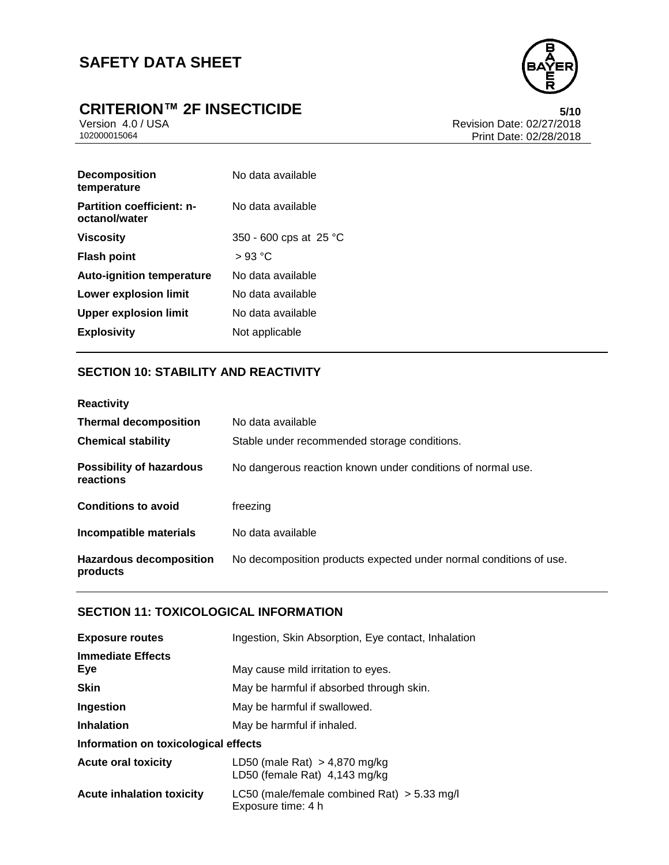# **CRITERION™ 2F INSECTICIDE**<br>Version 4.0 / USA **bidding the Calculation of the State:** 02/27/2018



Version 4.0 / USA <br>102000015064<br>Print Date: 02/27/2018 Print Date: 02/28/2018

| <b>Decomposition</b><br>temperature               | No data available      |
|---------------------------------------------------|------------------------|
| <b>Partition coefficient: n-</b><br>octanol/water | No data available      |
| <b>Viscosity</b>                                  | 350 - 600 cps at 25 °C |
| <b>Flash point</b>                                | $>93$ °C               |
| <b>Auto-ignition temperature</b>                  | No data available      |
| <b>Lower explosion limit</b>                      | No data available      |
| <b>Upper explosion limit</b>                      | No data available      |
| <b>Explosivity</b>                                | Not applicable         |

#### **SECTION 10: STABILITY AND REACTIVITY**

| <b>Reactivity</b>                            |                                                                    |
|----------------------------------------------|--------------------------------------------------------------------|
| <b>Thermal decomposition</b>                 | No data available                                                  |
| <b>Chemical stability</b>                    | Stable under recommended storage conditions.                       |
| <b>Possibility of hazardous</b><br>reactions | No dangerous reaction known under conditions of normal use.        |
| <b>Conditions to avoid</b>                   | freezing                                                           |
| Incompatible materials                       | No data available                                                  |
| <b>Hazardous decomposition</b><br>products   | No decomposition products expected under normal conditions of use. |

#### **SECTION 11: TOXICOLOGICAL INFORMATION**

| <b>Exposure routes</b>               | Ingestion, Skin Absorption, Eye contact, Inhalation                 |
|--------------------------------------|---------------------------------------------------------------------|
| <b>Immediate Effects</b><br>Eye      | May cause mild irritation to eyes.                                  |
| <b>Skin</b>                          | May be harmful if absorbed through skin.                            |
| Ingestion                            | May be harmful if swallowed.                                        |
| <b>Inhalation</b>                    | May be harmful if inhaled.                                          |
| Information on toxicological effects |                                                                     |
| <b>Acute oral toxicity</b>           | LD50 (male Rat) $> 4,870$ mg/kg<br>LD50 (female Rat) 4,143 mg/kg    |
| Acute inhalation toxicity            | LC50 (male/female combined Rat) $>$ 5.33 mg/l<br>Exposure time: 4 h |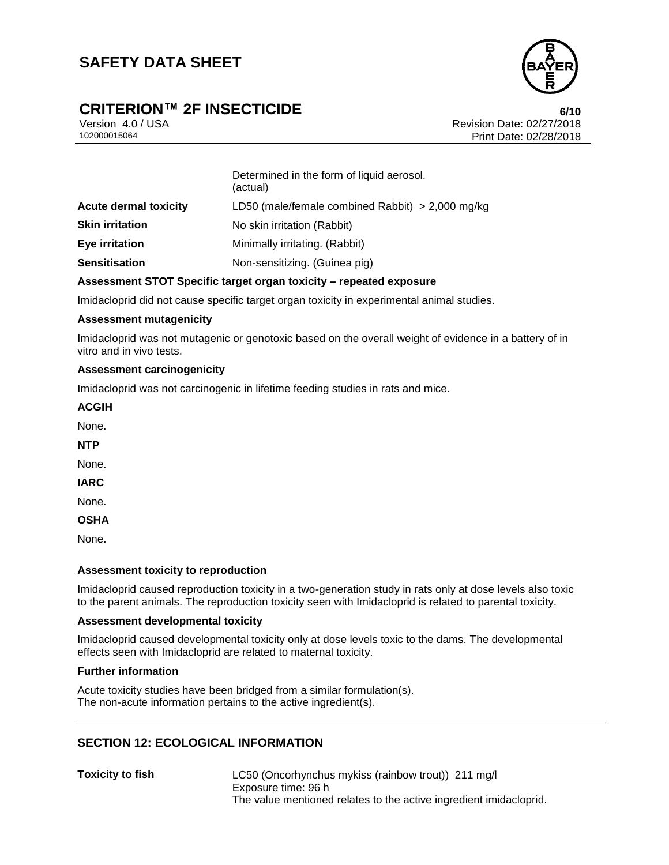

## **CRITERION™ 2F INSECTICIDE**<br>Version 4.0 / USA **6/10**<br>Revision Date: 02/27/2018

Version 4.0 / USA Revision Date: 02/27/2018<br>102000015064 Print Date: 02/27/2018 Print Date: 02/28/2018

|                              | Determined in the form of liquid aerosol.<br>(actual) |
|------------------------------|-------------------------------------------------------|
| <b>Acute dermal toxicity</b> | LD50 (male/female combined Rabbit) $>$ 2,000 mg/kg    |
| <b>Skin irritation</b>       | No skin irritation (Rabbit)                           |
| Eye irritation               | Minimally irritating. (Rabbit)                        |
| <b>Sensitisation</b>         | Non-sensitizing. (Guinea pig)                         |

#### **Assessment STOT Specific target organ toxicity – repeated exposure**

Imidacloprid did not cause specific target organ toxicity in experimental animal studies.

#### **Assessment mutagenicity**

Imidacloprid was not mutagenic or genotoxic based on the overall weight of evidence in a battery of in vitro and in vivo tests.

#### **Assessment carcinogenicity**

Imidacloprid was not carcinogenic in lifetime feeding studies in rats and mice.

#### **ACGIH**

None.

**NTP**

None.

**IARC**

None.

**OSHA**

None.

#### **Assessment toxicity to reproduction**

Imidacloprid caused reproduction toxicity in a two-generation study in rats only at dose levels also toxic to the parent animals. The reproduction toxicity seen with Imidacloprid is related to parental toxicity.

#### **Assessment developmental toxicity**

Imidacloprid caused developmental toxicity only at dose levels toxic to the dams. The developmental effects seen with Imidacloprid are related to maternal toxicity.

#### **Further information**

Acute toxicity studies have been bridged from a similar formulation(s). The non-acute information pertains to the active ingredient(s).

#### **SECTION 12: ECOLOGICAL INFORMATION**

**Toxicity to fish** LC50 (Oncorhynchus mykiss (rainbow trout)) 211 mg/l Exposure time: 96 h The value mentioned relates to the active ingredient imidacloprid.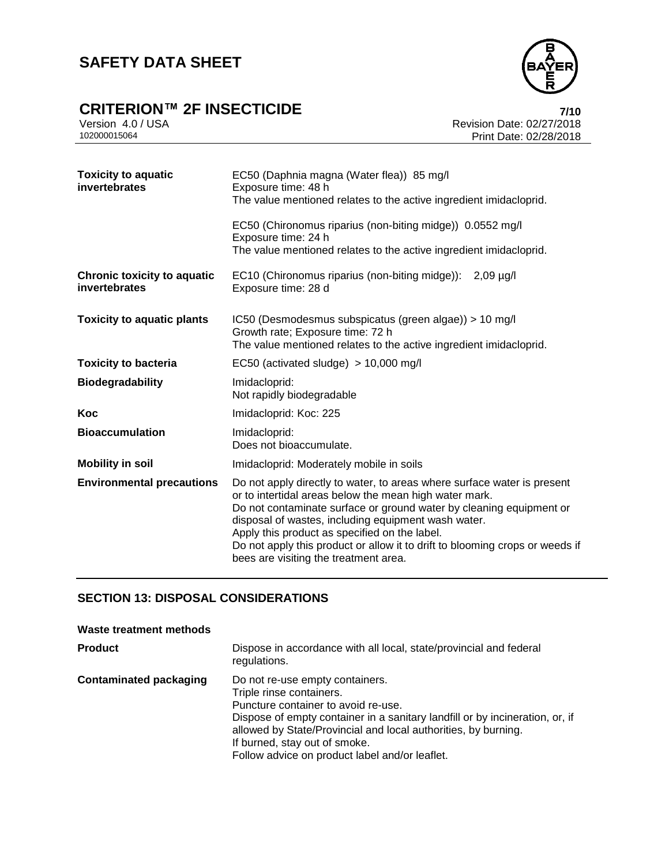

## **CRITERION™ 2F INSECTICIDE**<br>Version 4.0 / USA *Presion 4.0 / USA*

Version 4.0 / USA <br>102000015064<br>Print Date: 02/27/2018 Print Date: 02/28/2018

| <b>Toxicity to aquatic</b><br>invertebrates         | EC50 (Daphnia magna (Water flea)) 85 mg/l<br>Exposure time: 48 h<br>The value mentioned relates to the active ingredient imidacloprid.                                                                                                                                                                                                                                                                                                    |
|-----------------------------------------------------|-------------------------------------------------------------------------------------------------------------------------------------------------------------------------------------------------------------------------------------------------------------------------------------------------------------------------------------------------------------------------------------------------------------------------------------------|
|                                                     | EC50 (Chironomus riparius (non-biting midge)) 0.0552 mg/l<br>Exposure time: 24 h<br>The value mentioned relates to the active ingredient imidacloprid.                                                                                                                                                                                                                                                                                    |
| <b>Chronic toxicity to aquatic</b><br>invertebrates | EC10 (Chironomus riparius (non-biting midge)): 2,09 µg/l<br>Exposure time: 28 d                                                                                                                                                                                                                                                                                                                                                           |
| <b>Toxicity to aquatic plants</b>                   | IC50 (Desmodesmus subspicatus (green algae)) > 10 mg/l<br>Growth rate; Exposure time: 72 h<br>The value mentioned relates to the active ingredient imidacloprid.                                                                                                                                                                                                                                                                          |
| <b>Toxicity to bacteria</b>                         | EC50 (activated sludge) $> 10,000$ mg/l                                                                                                                                                                                                                                                                                                                                                                                                   |
| <b>Biodegradability</b>                             | Imidacloprid:<br>Not rapidly biodegradable                                                                                                                                                                                                                                                                                                                                                                                                |
| Koc                                                 | Imidacloprid: Koc: 225                                                                                                                                                                                                                                                                                                                                                                                                                    |
| <b>Bioaccumulation</b>                              | Imidacloprid:<br>Does not bioaccumulate.                                                                                                                                                                                                                                                                                                                                                                                                  |
| <b>Mobility in soil</b>                             | Imidacloprid: Moderately mobile in soils                                                                                                                                                                                                                                                                                                                                                                                                  |
| <b>Environmental precautions</b>                    | Do not apply directly to water, to areas where surface water is present<br>or to intertidal areas below the mean high water mark.<br>Do not contaminate surface or ground water by cleaning equipment or<br>disposal of wastes, including equipment wash water.<br>Apply this product as specified on the label.<br>Do not apply this product or allow it to drift to blooming crops or weeds if<br>bees are visiting the treatment area. |

#### **SECTION 13: DISPOSAL CONSIDERATIONS**

| Waste treatment methods       |                                                                                                                                                                                                                                                                                                                                         |
|-------------------------------|-----------------------------------------------------------------------------------------------------------------------------------------------------------------------------------------------------------------------------------------------------------------------------------------------------------------------------------------|
| <b>Product</b>                | Dispose in accordance with all local, state/provincial and federal<br>regulations.                                                                                                                                                                                                                                                      |
| <b>Contaminated packaging</b> | Do not re-use empty containers.<br>Triple rinse containers.<br>Puncture container to avoid re-use.<br>Dispose of empty container in a sanitary landfill or by incineration, or, if<br>allowed by State/Provincial and local authorities, by burning.<br>If burned, stay out of smoke.<br>Follow advice on product label and/or leaflet. |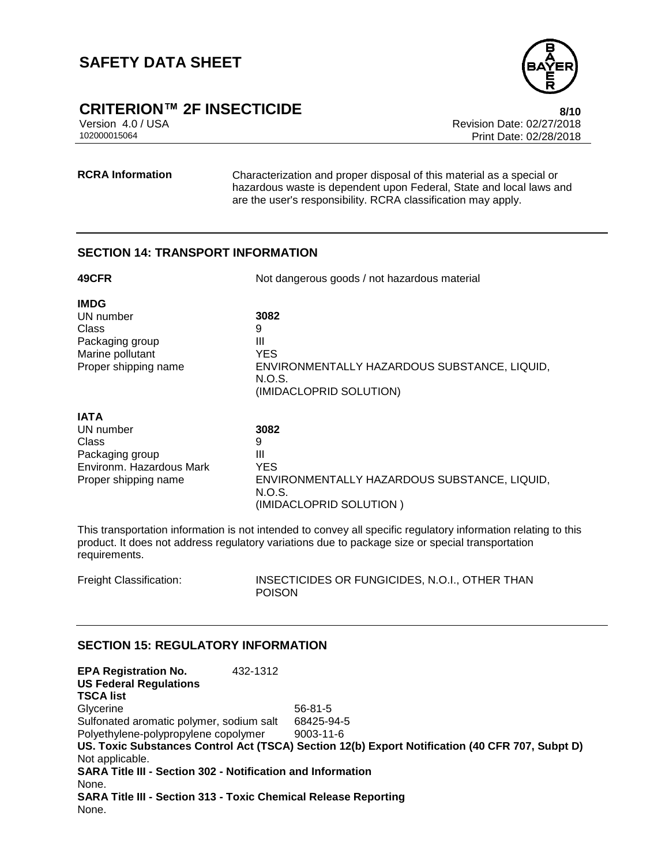

### **CRITERION™ 2F INSECTICIDE 8/10**

Version 4.0 / USA Revision Date: 02/27/2018 Print Date: 02/28/2018

**RCRA Information** Characterization and proper disposal of this material as a special or hazardous waste is dependent upon Federal, State and local laws and are the user's responsibility. RCRA classification may apply.

#### **SECTION 14: TRANSPORT INFORMATION**

| 49CFR                                                                                                    | Not dangerous goods / not hazardous material                                                                      |
|----------------------------------------------------------------------------------------------------------|-------------------------------------------------------------------------------------------------------------------|
| <b>IMDG</b><br>UN number<br>Class<br>Packaging group<br>Marine pollutant<br>Proper shipping name         | 3082<br>9<br>Ш<br><b>YES</b><br>ENVIRONMENTALLY HAZARDOUS SUBSTANCE, LIQUID,<br>N.O.S.<br>(IMIDACLOPRID SOLUTION) |
| <b>IATA</b><br>UN number<br>Class<br>Packaging group<br>Environm. Hazardous Mark<br>Proper shipping name | 3082<br>9<br>Ш<br><b>YES</b><br>ENVIRONMENTALLY HAZARDOUS SUBSTANCE, LIQUID,<br>N.O.S.<br>(IMIDACLOPRID SOLUTION) |

This transportation information is not intended to convey all specific regulatory information relating to this product. It does not address regulatory variations due to package size or special transportation requirements.

Freight Classification: INSECTICIDES OR FUNGICIDES, N.O.I., OTHER THAN POISON

#### **SECTION 15: REGULATORY INFORMATION**

**EPA Registration No.** 432-1312 **US Federal Regulations TSCA list** Glycerine 56-81-5 Sulfonated aromatic polymer, sodium salt 68425-94-5 Polyethylene-polypropylene copolymer 9003-11-6 **US. Toxic Substances Control Act (TSCA) Section 12(b) Export Notification (40 CFR 707, Subpt D)** Not applicable. **SARA Title III - Section 302 - Notification and Information** None. **SARA Title III - Section 313 - Toxic Chemical Release Reporting** None.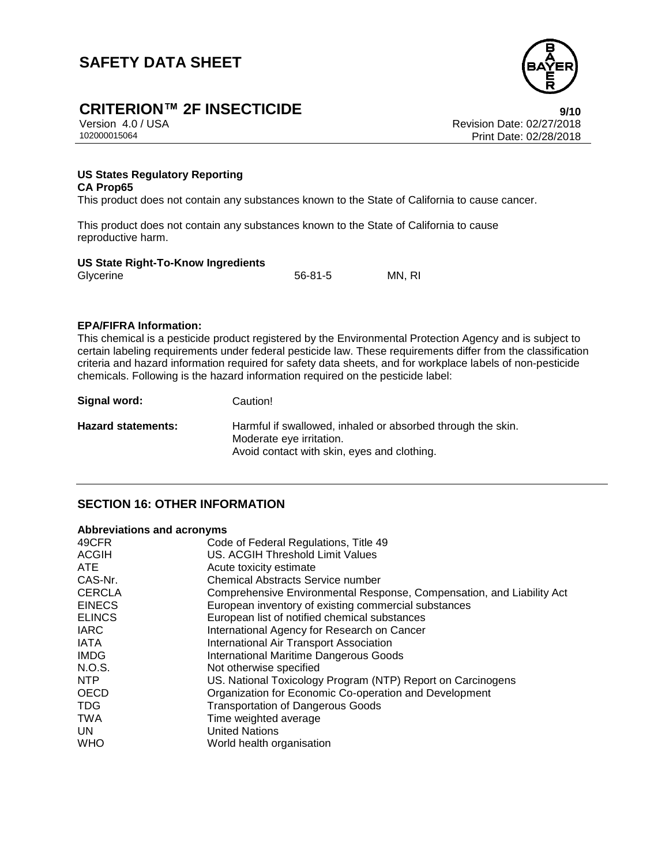

## **CRITERION™ 2F INSECTICIDE 9/10**

Version 4.0 / USA Revision Date: 02/27/2018 Print Date: 02/28/2018

#### **US States Regulatory Reporting CA Prop65**

This product does not contain any substances known to the State of California to cause cancer.

This product does not contain any substances known to the State of California to cause reproductive harm.

#### **US State Right-To-Know Ingredients**

| Glycerine | $56 - 81 - 5$ | MN, RI |
|-----------|---------------|--------|
|           |               |        |

#### **EPA/FIFRA Information:**

This chemical is a pesticide product registered by the Environmental Protection Agency and is subject to certain labeling requirements under federal pesticide law. These requirements differ from the classification criteria and hazard information required for safety data sheets, and for workplace labels of non-pesticide chemicals. Following is the hazard information required on the pesticide label:

| Signal word:       | Caution!                                                                                |
|--------------------|-----------------------------------------------------------------------------------------|
| Hazard statements: | Harmful if swallowed, inhaled or absorbed through the skin.<br>Moderate eye irritation. |
|                    | Avoid contact with skin, eyes and clothing.                                             |

#### **SECTION 16: OTHER INFORMATION**

#### **Abbreviations and acronyms**

| 49CFR         | Code of Federal Regulations, Title 49                                 |
|---------------|-----------------------------------------------------------------------|
| <b>ACGIH</b>  | US. ACGIH Threshold Limit Values                                      |
| ATE.          | Acute toxicity estimate                                               |
| CAS-Nr.       | <b>Chemical Abstracts Service number</b>                              |
| <b>CERCLA</b> | Comprehensive Environmental Response, Compensation, and Liability Act |
| <b>EINECS</b> | European inventory of existing commercial substances                  |
| <b>ELINCS</b> | European list of notified chemical substances                         |
| <b>IARC</b>   | International Agency for Research on Cancer                           |
| <b>IATA</b>   | International Air Transport Association                               |
| <b>IMDG</b>   | <b>International Maritime Dangerous Goods</b>                         |
| N.O.S.        | Not otherwise specified                                               |
| NTP           | US. National Toxicology Program (NTP) Report on Carcinogens           |
| <b>OECD</b>   | Organization for Economic Co-operation and Development                |
| <b>TDG</b>    | <b>Transportation of Dangerous Goods</b>                              |
| <b>TWA</b>    | Time weighted average                                                 |
| UN.           | <b>United Nations</b>                                                 |
| <b>WHO</b>    | World health organisation                                             |
|               |                                                                       |